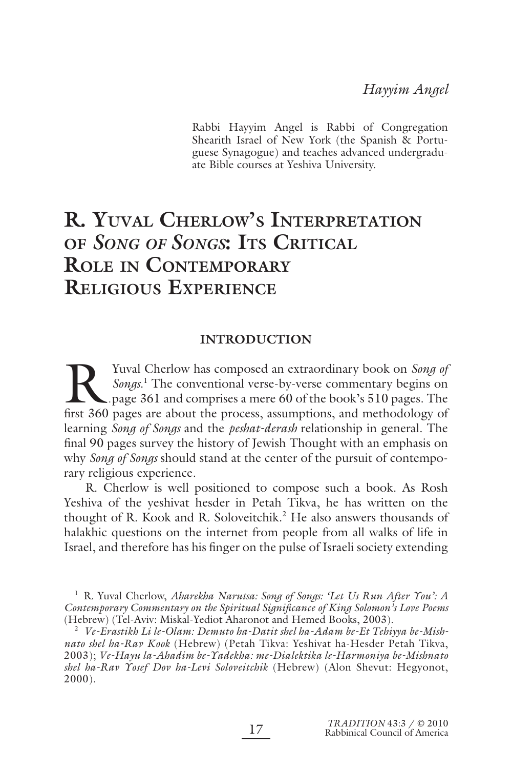Rabbi Hayyim Angel is Rabbi of Congregation Shearith Israel of New York (the Spanish & Portuguese Synagogue) and teaches advanced undergraduate Bible courses at Yeshiva University.

# **R. YUVAL CHERLOW'S INTERPRETATION OF** *SONG OF SONGS***: ITS CRITICAL ROLE IN CONTEMPORARY RELIGIOUS EXPERIENCE**

### **INTRODUCTION**

K. The conventional verse-by-verse commentary book on *Song of Songs.*<sup>1</sup> The conventional verse-by-verse commentary begins on pages 361 and comprises a mere 60 of the book's 510 pages. The first 360 pages are about the Yuval Cherlow has composed an extraordinary book on *Song of Songs*. 1 The conventional verse-by-verse commentary begins on page 361 and comprises a mere 60 of the book's 510 pages. The learning *Song of Songs* and the *peshat-derash* relationship in general. The final 90 pages survey the history of Jewish Thought with an emphasis on why *Song of Songs* should stand at the center of the pursuit of contemporary religious experience.

R. Cherlow is well positioned to compose such a book. As Rosh Yeshiva of the yeshivat hesder in Petah Tikva, he has written on the thought of R. Kook and R. Soloveitchik.<sup>2</sup> He also answers thousands of halakhic questions on the internet from people from all walks of life in Israel, and therefore has his finger on the pulse of Israeli society extending

<sup>2</sup> *Ve-Erastikh Li le-Olam: Demuto ha-Datit shel ha-Adam be-Et Tehiyya be-Mishnato shel ha-Rav Kook* (Hebrew) (Petah Tikva: Yeshivat ha-Hesder Petah Tikva, 2003); *Ve-Hayu la-Ahadim be-Yadekha: me-Dialektika le-Harmoniya be-Mishnato shel ha-Rav Yosef Dov ha-Levi Soloveitchik* (Hebrew) (Alon Shevut: Hegyonot, 2000).

<sup>&</sup>lt;sup>1</sup> R. Yuval Cherlow, *Aharekha Narutsa: Song of Songs: 'Let Us Run After You': A Contemporary Commentary on the Spiritual Signifi cance of King Solomon's Love Poems* (Hebrew) (Tel-Aviv: Miskal-Yediot Aharonot and Hemed Books, 2003).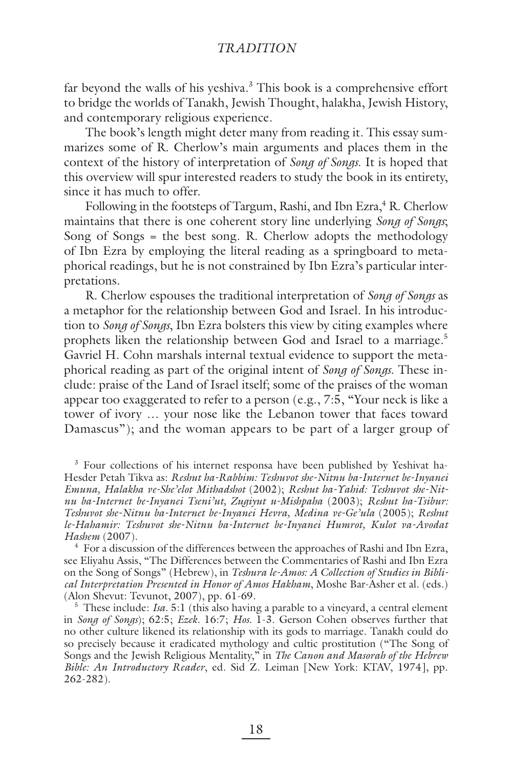far beyond the walls of his yeshiva.<sup>3</sup> This book is a comprehensive effort to bridge the worlds of Tanakh, Jewish Thought, halakha, Jewish History, and contemporary religious experience.

The book's length might deter many from reading it. This essay summarizes some of R. Cherlow's main arguments and places them in the context of the history of interpretation of *Song of Songs*. It is hoped that this overview will spur interested readers to study the book in its entirety, since it has much to offer.

Following in the footsteps of Targum, Rashi, and Ibn Ezra,<sup>4</sup> R. Cherlow maintains that there is one coherent story line underlying *Song of Songs*; Song of Songs = the best song. R. Cherlow adopts the methodology of Ibn Ezra by employing the literal reading as a springboard to metaphorical readings, but he is not constrained by Ibn Ezra's particular interpretations.

R. Cherlow espouses the traditional interpretation of *Song of Songs* as a metaphor for the relationship between God and Israel. In his introduction to *Song of Songs*, Ibn Ezra bolsters this view by citing examples where prophets liken the relationship between God and Israel to a marriage.<sup>5</sup> Gavriel H. Cohn marshals internal textual evidence to support the metaphorical reading as part of the original intent of *Song of Songs*. These include: praise of the Land of Israel itself; some of the praises of the woman appear too exaggerated to refer to a person (e.g., 7:5, "Your neck is like a tower of ivory … your nose like the Lebanon tower that faces toward Damascus"); and the woman appears to be part of a larger group of

<sup>3</sup> Four collections of his internet responsa have been published by Yeshivat ha-Hesder Petah Tikva as: *Reshut ha-Rabbim: Teshuvot she-Nitnu ba-Internet be-Inyanei Emuna, Halakha ve-She'elot Mithadshot* (2002); *Reshut ha-Yahid: Teshuvot she-Nitnu ba-Internet be-Inyanei Tseni'ut, Zugiyut u-Mishpaha* (2003); *Reshut ha-Tsibur: Teshuvot she-Nitnu ba-Internet be-Inyanei Hevra, Medina ve-Ge'ula* (2005); *Reshut le-Hahamir: Teshuvot she-Nitnu ba-Internet be-Inyanei Humrot, Kulot va-Avodat Hashem* (2007).

<sup>4</sup> For a discussion of the differences between the approaches of Rashi and Ibn Ezra, see Eliyahu Assis, "The Differences between the Commentaries of Rashi and Ibn Ezra on the Song of Songs" (Hebrew), in *Teshura le-Amos: A Collection of Studies in Biblical Interpretation Presented in Honor of Amos Hakham*, Moshe Bar-Asher et al. (eds.) (Alon Shevut: Tevunot, 2007), pp. 61-69.

<sup>5</sup> These include: *Isa*. 5:1 (this also having a parable to a vineyard, a central element in *Song of Songs*); 62:5; *Ezek.* 16:7; *Hos.* 1-3. Gerson Cohen observes further that no other culture likened its relationship with its gods to marriage. Tanakh could do so precisely because it eradicated mythology and cultic prostitution ("The Song of Songs and the Jewish Religious Mentality," in *The Canon and Masorah of the Hebrew Bible: An Introductory Reader*, ed. Sid Z. Leiman [New York: KTAV, 1974], pp. 262-282).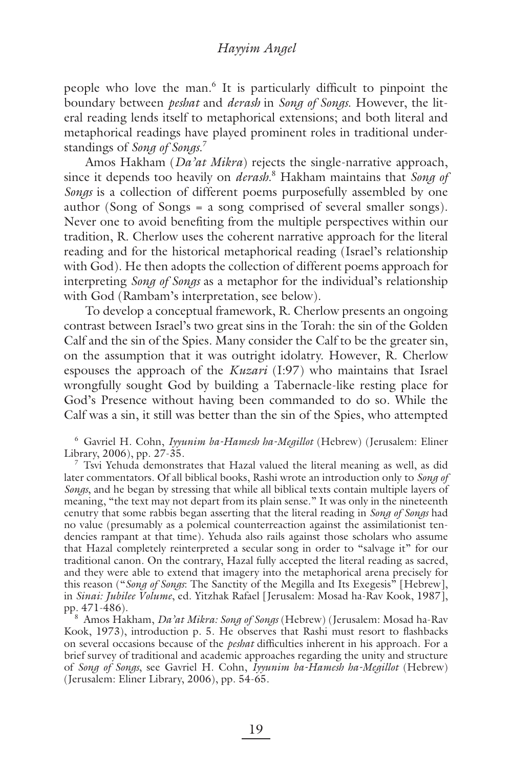#### *Hayyim Angel*

people who love the man.<sup>6</sup> It is particularly difficult to pinpoint the boundary between *peshat* and *derash* in *Song of Songs*. However, the literal reading lends itself to metaphorical extensions; and both literal and metaphorical readings have played prominent roles in traditional understandings of *Song of Songs*. 7

Amos Hakham (*Da'at Mikra*) rejects the single-narrative approach, since it depends too heavily on *derash*. 8 Hakham maintains that *Song of Songs* is a collection of different poems purposefully assembled by one author (Song of Songs = a song comprised of several smaller songs). Never one to avoid benefiting from the multiple perspectives within our tradition, R. Cherlow uses the coherent narrative approach for the literal reading and for the historical metaphorical reading (Israel's relationship with God). He then adopts the collection of different poems approach for interpreting *Song of Songs* as a metaphor for the individual's relationship with God (Rambam's interpretation, see below).

To develop a conceptual framework, R. Cherlow presents an ongoing contrast between Israel's two great sins in the Torah: the sin of the Golden Calf and the sin of the Spies. Many consider the Calf to be the greater sin, on the assumption that it was outright idolatry. However, R. Cherlow espouses the approach of the *Kuzari* (I:97) who maintains that Israel wrongfully sought God by building a Tabernacle-like resting place for God's Presence without having been commanded to do so. While the Calf was a sin, it still was better than the sin of the Spies, who attempted

6 Gavriel H. Cohn, *Iyyunim ba-Hamesh ha-Megillot* (Hebrew) (Jerusalem: Eliner Library, 2006), pp. 27-35.

 $7$  Tsvi Yehuda demonstrates that Hazal valued the literal meaning as well, as did later commentators. Of all biblical books, Rashi wrote an introduction only to *Song of Songs*, and he began by stressing that while all biblical texts contain multiple layers of meaning, "the text may not depart from its plain sense." It was only in the nineteenth cenutry that some rabbis began asserting that the literal reading in *Song of Songs* had no value (presumably as a polemical counterreaction against the assimilationist tendencies rampant at that time). Yehuda also rails against those scholars who assume that Hazal completely reinterpreted a secular song in order to "salvage it" for our traditional canon. On the contrary, Hazal fully accepted the literal reading as sacred, and they were able to extend that imagery into the metaphorical arena precisely for this reason ("*Song of Songs*: The Sanctity of the Megilla and Its Exegesis" [Hebrew], in *Sinai: Jubilee Volume*, ed. Yitzhak Rafael [Jerusalem: Mosad ha-Rav Kook, 1987], pp. 471-486).

8 Amos Hakham, *Da'at Mikra: Song of Songs* (Hebrew) (Jerusalem: Mosad ha-Rav Kook, 1973), introduction p. 5. He observes that Rashi must resort to flashbacks on several occasions because of the *peshat* difficulties inherent in his approach. For a brief survey of traditional and academic approaches regarding the unity and structure of *Song of Songs*, see Gavriel H. Cohn, *Iyyunim ba-Hamesh ha-Megillot* (Hebrew) (Jerusalem: Eliner Library, 2006), pp. 54-65.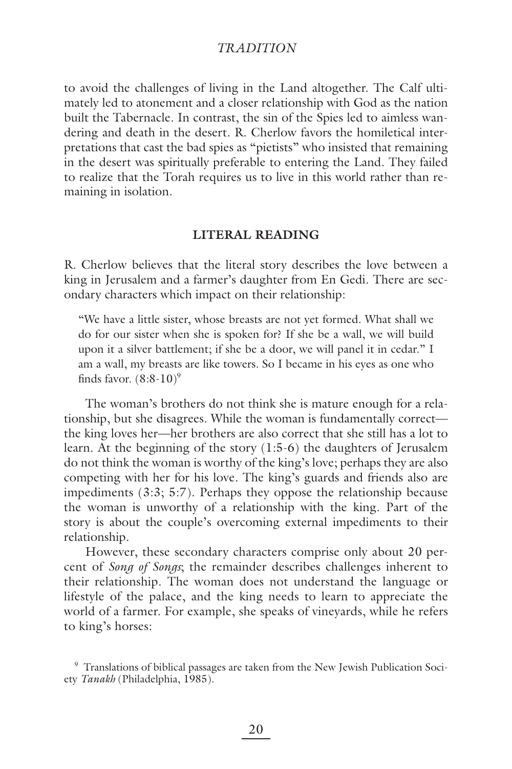to avoid the challenges of living in the Land altogether. The Calf ultimately led to atonement and a closer relationship with God as the nation built the Tabernacle. In contrast, the sin of the Spies led to aimless wandering and death in the desert. R. Cherlow favors the homiletical interpretations that cast the bad spies as "pietists" who insisted that remaining in the desert was spiritually preferable to entering the Land. They failed to realize that the Torah requires us to live in this world rather than remaining in isolation.

#### **LITERAL READING**

R. Cherlow believes that the literal story describes the love between a king in Jerusalem and a farmer's daughter from En Gedi. There are secondary characters which impact on their relationship:

"We have a little sister, whose breasts are not yet formed. What shall we do for our sister when she is spoken for? If she be a wall, we will build upon it a silver battlement; if she be a door, we will panel it in cedar." I am a wall, my breasts are like towers. So I became in his eyes as one who finds favor.  $(8:8-10)^9$ 

The woman's brothers do not think she is mature enough for a relationship, but she disagrees. While the woman is fundamentally correct the king loves her—her brothers are also correct that she still has a lot to learn. At the beginning of the story (1:5-6) the daughters of Jerusalem do not think the woman is worthy of the king's love; perhaps they are also competing with her for his love. The king's guards and friends also are impediments (3:3; 5:7). Perhaps they oppose the relationship because the woman is unworthy of a relationship with the king. Part of the story is about the couple's overcoming external impediments to their relationship.

However, these secondary characters comprise only about 20 percent of *Song of Songs*; the remainder describes challenges inherent to their relationship. The woman does not understand the language or lifestyle of the palace, and the king needs to learn to appreciate the world of a farmer. For example, she speaks of vineyards, while he refers to king's horses:

<sup>9</sup> Translations of biblical passages are taken from the New Jewish Publication Society *Tanakh* (Philadelphia, 1985).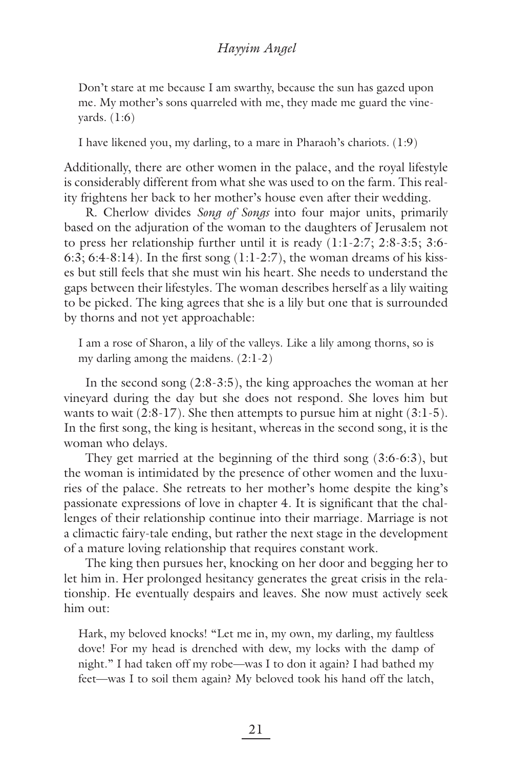Don't stare at me because I am swarthy, because the sun has gazed upon me. My mother's sons quarreled with me, they made me guard the vineyards. (1:6)

I have likened you, my darling, to a mare in Pharaoh's chariots. (1:9)

Additionally, there are other women in the palace, and the royal lifestyle is considerably different from what she was used to on the farm. This reality frightens her back to her mother's house even after their wedding.

R. Cherlow divides *Song of Songs* into four major units, primarily based on the adjuration of the woman to the daughters of Jerusalem not to press her relationship further until it is ready (1:1-2:7; 2:8-3:5; 3:6- 6:3; 6:4-8:14). In the first song  $(1:1-2:7)$ , the woman dreams of his kisses but still feels that she must win his heart. She needs to understand the gaps between their lifestyles. The woman describes herself as a lily waiting to be picked. The king agrees that she is a lily but one that is surrounded by thorns and not yet approachable:

I am a rose of Sharon, a lily of the valleys. Like a lily among thorns, so is my darling among the maidens. (2:1-2)

In the second song (2:8-3:5), the king approaches the woman at her vineyard during the day but she does not respond. She loves him but wants to wait  $(2.8-17)$ . She then attempts to pursue him at night  $(3.1-5)$ . In the first song, the king is hesitant, whereas in the second song, it is the woman who delays.

They get married at the beginning of the third song (3:6-6:3), but the woman is intimidated by the presence of other women and the luxuries of the palace. She retreats to her mother's home despite the king's passionate expressions of love in chapter 4. It is significant that the challenges of their relationship continue into their marriage. Marriage is not a climactic fairy-tale ending, but rather the next stage in the development of a mature loving relationship that requires constant work.

The king then pursues her, knocking on her door and begging her to let him in. Her prolonged hesitancy generates the great crisis in the relationship. He eventually despairs and leaves. She now must actively seek him out:

Hark, my beloved knocks! "Let me in, my own, my darling, my faultless dove! For my head is drenched with dew, my locks with the damp of night." I had taken off my robe—was I to don it again? I had bathed my feet—was I to soil them again? My beloved took his hand off the latch,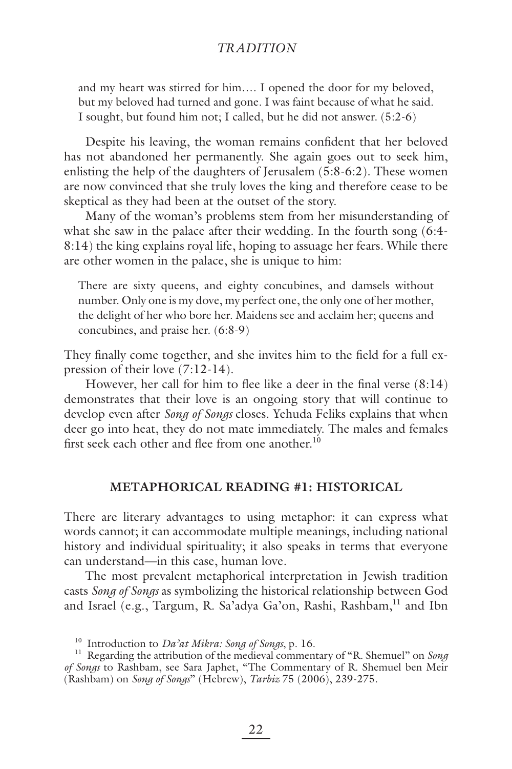and my heart was stirred for him…. I opened the door for my beloved, but my beloved had turned and gone. I was faint because of what he said. I sought, but found him not; I called, but he did not answer. (5:2-6)

Despite his leaving, the woman remains confident that her beloved has not abandoned her permanently. She again goes out to seek him, enlisting the help of the daughters of Jerusalem (5:8-6:2). These women are now convinced that she truly loves the king and therefore cease to be skeptical as they had been at the outset of the story.

Many of the woman's problems stem from her misunderstanding of what she saw in the palace after their wedding. In the fourth song (6:4- 8:14) the king explains royal life, hoping to assuage her fears. While there are other women in the palace, she is unique to him:

There are sixty queens, and eighty concubines, and damsels without number. Only one is my dove, my perfect one, the only one of her mother, the delight of her who bore her. Maidens see and acclaim her; queens and concubines, and praise her. (6:8-9)

They finally come together, and she invites him to the field for a full expression of their love (7:12-14).

However, her call for him to flee like a deer in the final verse  $(8.14)$ demonstrates that their love is an ongoing story that will continue to develop even after *Song of Songs* closes. Yehuda Feliks explains that when deer go into heat, they do not mate immediately. The males and females first seek each other and flee from one another.<sup>10</sup>

#### **METAPHORICAL READING #1: HISTORICAL**

There are literary advantages to using metaphor: it can express what words cannot; it can accommodate multiple meanings, including national history and individual spirituality; it also speaks in terms that everyone can understand—in this case, human love.

The most prevalent metaphorical interpretation in Jewish tradition casts *Song of Songs* as symbolizing the historical relationship between God and Israel (e.g., Targum, R. Sa'adya Ga'on, Rashi, Rashbam,<sup>11</sup> and Ibn

<sup>10</sup> Introduction to *Da'at Mikra: Song of Songs*, p. 16.

<sup>11</sup> Regarding the attribution of the medieval commentary of "R. Shemuel" on *Song of Songs* to Rashbam, see Sara Japhet, "The Commentary of R. Shemuel ben Meir (Rashbam) on *Song of Songs*" (Hebrew), *Tarbiz* 75 (2006), 239-275.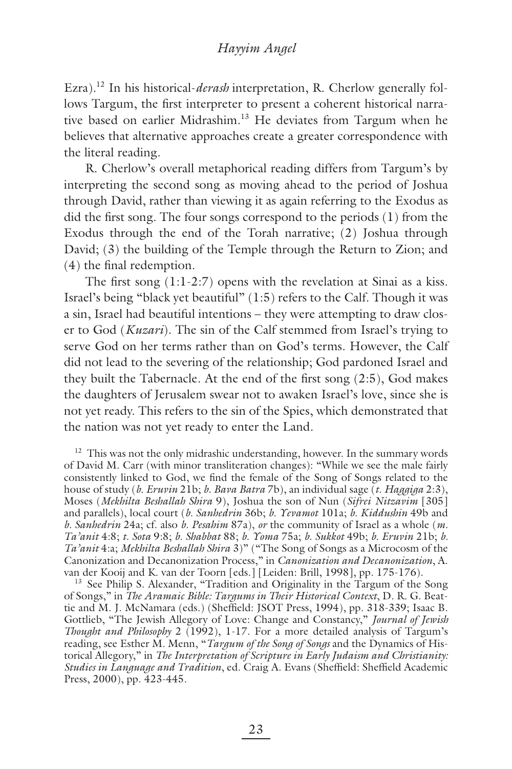Ezra).12 In his historical-*derash* interpretation, R. Cherlow generally follows Targum, the first interpreter to present a coherent historical narrative based on earlier Midrashim.<sup>13</sup> He deviates from Targum when he believes that alternative approaches create a greater correspondence with the literal reading.

R. Cherlow's overall metaphorical reading differs from Targum's by interpreting the second song as moving ahead to the period of Joshua through David, rather than viewing it as again referring to the Exodus as did the first song. The four songs correspond to the periods  $(1)$  from the Exodus through the end of the Torah narrative; (2) Joshua through David; (3) the building of the Temple through the Return to Zion; and  $(4)$  the final redemption.

The first song  $(1:1-2:7)$  opens with the revelation at Sinai as a kiss. Israel's being "black yet beautiful" (1:5) refers to the Calf. Though it was a sin, Israel had beautiful intentions – they were attempting to draw closer to God (*Kuzari*). The sin of the Calf stemmed from Israel's trying to serve God on her terms rather than on God's terms. However, the Calf did not lead to the severing of the relationship; God pardoned Israel and they built the Tabernacle. At the end of the first song  $(2.5)$ , God makes the daughters of Jerusalem swear not to awaken Israel's love, since she is not yet ready. This refers to the sin of the Spies, which demonstrated that the nation was not yet ready to enter the Land.

<sup>12</sup> This was not the only midrashic understanding, however. In the summary words of David M. Carr (with minor transliteration changes): "While we see the male fairly consistently linked to God, we find the female of the Song of Songs related to the house of study (*b. Eruvin* 21b; *b. Bava Batra* 7b), an individual sage (*t. Haggiga* 2:3), Moses (*Mekhilta Beshallah Shira* 9), Joshua the son of Nun (*Sifrei Nitzavim* [305] and parallels), local court (*b. Sanhedrin* 36b; *b. Yevamot* 101a; *b. Kiddushin* 49b and *b. Sanhedrin* 24a; cf. also *b. Pesahim* 87a), *or* the community of Israel as a whole (*m. Ta'anit* 4:8; *t. Sota* 9:8; *b. Shabbat* 88; *b. Yoma* 75a; *b. Sukkot* 49b; *b. Eruvin* 21b; *b. Ta'anit* 4:a; *Mekhilta Beshallah Shira* 3)" ("The Song of Songs as a Microcosm of the Canonization and Decanonization Process," in *Canonization and Decanonization*, A. van der Kooij and K. van der Toorn [eds.] [Leiden: Brill, 1998], pp. 175-176).

<sup>13</sup> See Philip S. Alexander, "Tradition and Originality in the Targum of the Song of Songs," in *The Aramaic Bible: Targums in Their Historical Context*, D. R. G. Beattie and M. J. McNamara (eds.) (Sheffield: JSOT Press, 1994), pp. 318-339; Isaac B. Gottlieb, "The Jewish Allegory of Love: Change and Constancy," *Journal of Jewish Thought and Philosophy* 2 (1992), 1-17. For a more detailed analysis of Targum's reading, see Esther M. Menn, "*Targum of the Song of Songs* and the Dynamics of Historical Allegory," in *The Interpretation of Scripture in Early Judaism and Christianity: Studies in Language and Tradition*, ed. Craig A. Evans (Sheffield: Sheffield Academic Press, 2000), pp. 423-445.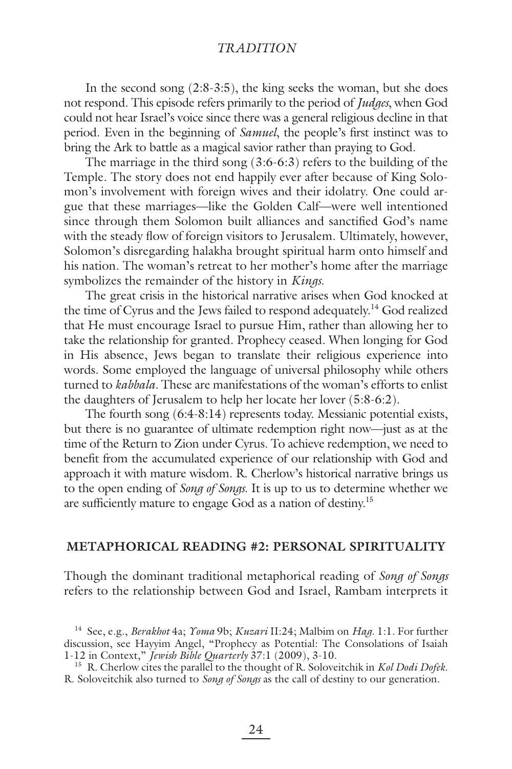In the second song (2:8-3:5), the king seeks the woman, but she does not respond. This episode refers primarily to the period of *Judges*, when God could not hear Israel's voice since there was a general religious decline in that period. Even in the beginning of *Samuel*, the people's first instinct was to bring the Ark to battle as a magical savior rather than praying to God.

The marriage in the third song (3:6-6:3) refers to the building of the Temple. The story does not end happily ever after because of King Solomon's involvement with foreign wives and their idolatry. One could argue that these marriages—like the Golden Calf—were well intentioned since through them Solomon built alliances and sanctified God's name with the steady flow of foreign visitors to Jerusalem. Ultimately, however, Solomon's disregarding halakha brought spiritual harm onto himself and his nation. The woman's retreat to her mother's home after the marriage symbolizes the remainder of the history in *Kings*.

The great crisis in the historical narrative arises when God knocked at the time of Cyrus and the Jews failed to respond adequately.<sup>14</sup> God realized that He must encourage Israel to pursue Him, rather than allowing her to take the relationship for granted. Prophecy ceased. When longing for God in His absence, Jews began to translate their religious experience into words. Some employed the language of universal philosophy while others turned to *kabbala*. These are manifestations of the woman's efforts to enlist the daughters of Jerusalem to help her locate her lover (5:8-6:2).

The fourth song (6:4-8:14) represents today. Messianic potential exists, but there is no guarantee of ultimate redemption right now—just as at the time of the Return to Zion under Cyrus. To achieve redemption, we need to benefit from the accumulated experience of our relationship with God and approach it with mature wisdom. R. Cherlow's historical narrative brings us to the open ending of *Song of Songs*. It is up to us to determine whether we are sufficiently mature to engage God as a nation of destiny.<sup>15</sup>

#### **METAPHORICAL READING #2: PERSONAL SPIRITUALITY**

Though the dominant traditional metaphorical reading of *Song of Songs* refers to the relationship between God and Israel, Rambam interprets it

<sup>14</sup> See, e.g., *Berakhot* 4a; *Yoma* 9b; *Kuzari* II:24; Malbim on *Hag.* 1:1. For further discussion, see Hayyim Angel, "Prophecy as Potential: The Consolations of Isaiah 1-12 in Context," *Jewish Bible Quarterly* 37:1 (2009), 3-10.

<sup>15</sup> R. Cherlow cites the parallel to the thought of R. Soloveitchik in *Kol Dodi Dofek*. R. Soloveitchik also turned to *Song of Songs* as the call of destiny to our generation.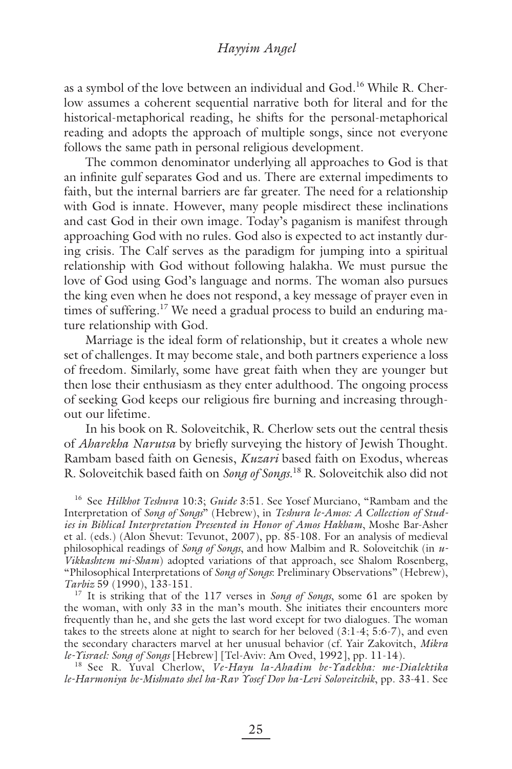as a symbol of the love between an individual and God.<sup>16</sup> While R. Cherlow assumes a coherent sequential narrative both for literal and for the historical-metaphorical reading, he shifts for the personal-metaphorical reading and adopts the approach of multiple songs, since not everyone follows the same path in personal religious development.

The common denominator underlying all approaches to God is that an infinite gulf separates God and us. There are external impediments to faith, but the internal barriers are far greater. The need for a relationship with God is innate. However, many people misdirect these inclinations and cast God in their own image. Today's paganism is manifest through approaching God with no rules. God also is expected to act instantly during crisis. The Calf serves as the paradigm for jumping into a spiritual relationship with God without following halakha. We must pursue the love of God using God's language and norms. The woman also pursues the king even when he does not respond, a key message of prayer even in times of suffering.<sup>17</sup> We need a gradual process to build an enduring mature relationship with God.

Marriage is the ideal form of relationship, but it creates a whole new set of challenges. It may become stale, and both partners experience a loss of freedom. Similarly, some have great faith when they are younger but then lose their enthusiasm as they enter adulthood. The ongoing process of seeking God keeps our religious fire burning and increasing throughout our lifetime.

In his book on R. Soloveitchik, R. Cherlow sets out the central thesis of *Aharekha Narutsa* by briefly surveying the history of Jewish Thought. Rambam based faith on Genesis, *Kuzari* based faith on Exodus, whereas R. Soloveitchik based faith on *Song of Songs*. 18 R. Soloveitchik also did not

16 See *Hilkhot Teshuva* 10:3; *Guide* 3:51. See Yosef Murciano, "Rambam and the Interpretation of *Song of Songs*" (Hebrew), in *Teshura le-Amos: A Collection of Studies in Biblical Interpretation Presented in Honor of Amos Hakham*, Moshe Bar-Asher et al. (eds.) (Alon Shevut: Tevunot, 2007), pp. 85-108. For an analysis of medieval philosophical readings of *Song of Songs*, and how Malbim and R. Soloveitchik (in *u-Vikkashtem mi-Sham*) adopted variations of that approach, see Shalom Rosenberg, "Philosophical Interpretations of *Song of Songs*: Preliminary Observations" (Hebrew), *Tarbiz* 59 (1990), 133-151.

17 It is striking that of the 117 verses in *Song of Songs*, some 61 are spoken by the woman, with only 33 in the man's mouth. She initiates their encounters more frequently than he, and she gets the last word except for two dialogues. The woman takes to the streets alone at night to search for her beloved (3:1-4; 5:6-7), and even the secondary characters marvel at her unusual behavior (cf. Yair Zakovitch, *Mikra le-Yisrael: Song of Songs* [Hebrew] [Tel-Aviv: Am Oved, 1992], pp. 11-14).

18 See R. Yuval Cherlow, *Ve-Hayu la-Ahadim be-Yadekha: me-Dialektika le-Harmoniya be-Mishnato shel ha-Rav Yosef Dov ha-Levi Soloveitchik*, pp. 33-41. See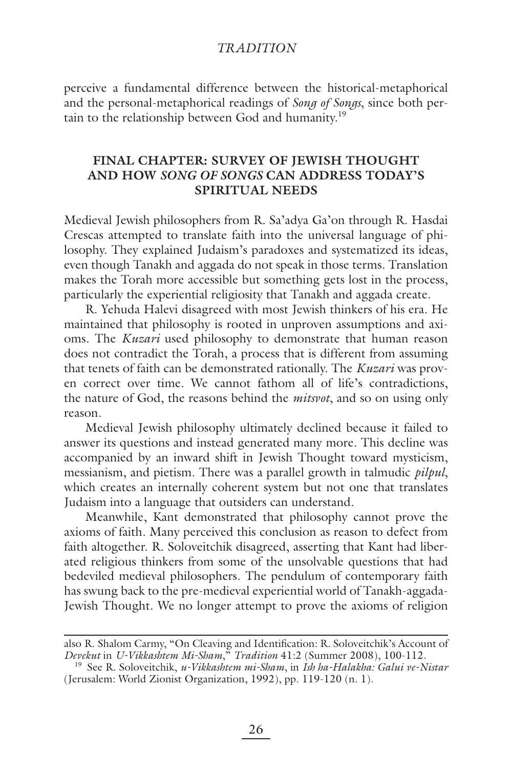perceive a fundamental difference between the historical-metaphorical and the personal-metaphorical readings of *Song of Songs*, since both pertain to the relationship between God and humanity.<sup>19</sup>

# **FINAL CHAPTER: SURVEY OF JEWISH THOUGHT AND HOW** *SONG OF SONGS* **CAN ADDRESS TODAY'S SPIRITUAL NEEDS**

Medieval Jewish philosophers from R. Sa'adya Ga'on through R. Hasdai Crescas attempted to translate faith into the universal language of philosophy. They explained Judaism's paradoxes and systematized its ideas, even though Tanakh and aggada do not speak in those terms. Translation makes the Torah more accessible but something gets lost in the process, particularly the experiential religiosity that Tanakh and aggada create.

R. Yehuda Halevi disagreed with most Jewish thinkers of his era. He maintained that philosophy is rooted in unproven assumptions and axioms. The *Kuzari* used philosophy to demonstrate that human reason does not contradict the Torah, a process that is different from assuming that tenets of faith can be demonstrated rationally. The *Kuzari* was proven correct over time. We cannot fathom all of life's contradictions, the nature of God, the reasons behind the *mitsvot*, and so on using only reason.

Medieval Jewish philosophy ultimately declined because it failed to answer its questions and instead generated many more. This decline was accompanied by an inward shift in Jewish Thought toward mysticism, messianism, and pietism. There was a parallel growth in talmudic *pilpul*, which creates an internally coherent system but not one that translates Judaism into a language that outsiders can understand.

Meanwhile, Kant demonstrated that philosophy cannot prove the axioms of faith. Many perceived this conclusion as reason to defect from faith altogether. R. Soloveitchik disagreed, asserting that Kant had liberated religious thinkers from some of the unsolvable questions that had bedeviled medieval philosophers. The pendulum of contemporary faith has swung back to the pre-medieval experiential world of Tanakh-aggada-Jewish Thought. We no longer attempt to prove the axioms of religion

also R. Shalom Carmy, "On Cleaving and Identification: R. Soloveitchik's Account of *Devekut* in *U-Vikkashtem Mi-Sham*," *Tradition* 41:2 (Summer 2008), 100-112.

<sup>19</sup> See R. Soloveitchik, *u-Vikkashtem mi-Sham*, in *Ish ha-Halakha: Galui ve-Nistar* (Jerusalem: World Zionist Organization, 1992), pp. 119-120 (n. 1).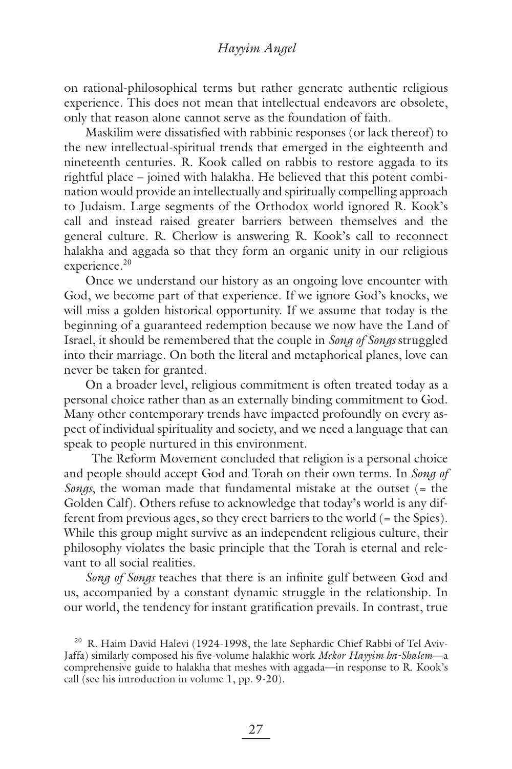#### *Hayyim Angel*

on rational-philosophical terms but rather generate authentic religious experience. This does not mean that intellectual endeavors are obsolete, only that reason alone cannot serve as the foundation of faith.

Maskilim were dissatisfied with rabbinic responses (or lack thereof) to the new intellectual-spiritual trends that emerged in the eighteenth and nineteenth centuries. R. Kook called on rabbis to restore aggada to its rightful place – joined with halakha. He believed that this potent combination would provide an intellectually and spiritually compelling approach to Judaism. Large segments of the Orthodox world ignored R. Kook's call and instead raised greater barriers between themselves and the general culture. R. Cherlow is answering R. Kook's call to reconnect halakha and aggada so that they form an organic unity in our religious experience.<sup>20</sup>

Once we understand our history as an ongoing love encounter with God, we become part of that experience. If we ignore God's knocks, we will miss a golden historical opportunity. If we assume that today is the beginning of a guaranteed redemption because we now have the Land of Israel, it should be remembered that the couple in *Song of Songs* struggled into their marriage. On both the literal and metaphorical planes, love can never be taken for granted.

On a broader level, religious commitment is often treated today as a personal choice rather than as an externally binding commitment to God. Many other contemporary trends have impacted profoundly on every aspect of individual spirituality and society, and we need a language that can speak to people nurtured in this environment.

 The Reform Movement concluded that religion is a personal choice and people should accept God and Torah on their own terms. In *Song of Songs*, the woman made that fundamental mistake at the outset (= the Golden Calf). Others refuse to acknowledge that today's world is any different from previous ages, so they erect barriers to the world (= the Spies). While this group might survive as an independent religious culture, their philosophy violates the basic principle that the Torah is eternal and relevant to all social realities.

*Song of Songs* teaches that there is an infinite gulf between God and us, accompanied by a constant dynamic struggle in the relationship. In our world, the tendency for instant gratification prevails. In contrast, true

<sup>20</sup> R. Haim David Halevi (1924-1998, the late Sephardic Chief Rabbi of Tel Aviv-Jaffa) similarly composed his five-volume halakhic work *Mekor Hayyim ha-Shalem*—a comprehensive guide to halakha that meshes with aggada—in response to R. Kook's call (see his introduction in volume 1, pp. 9-20).